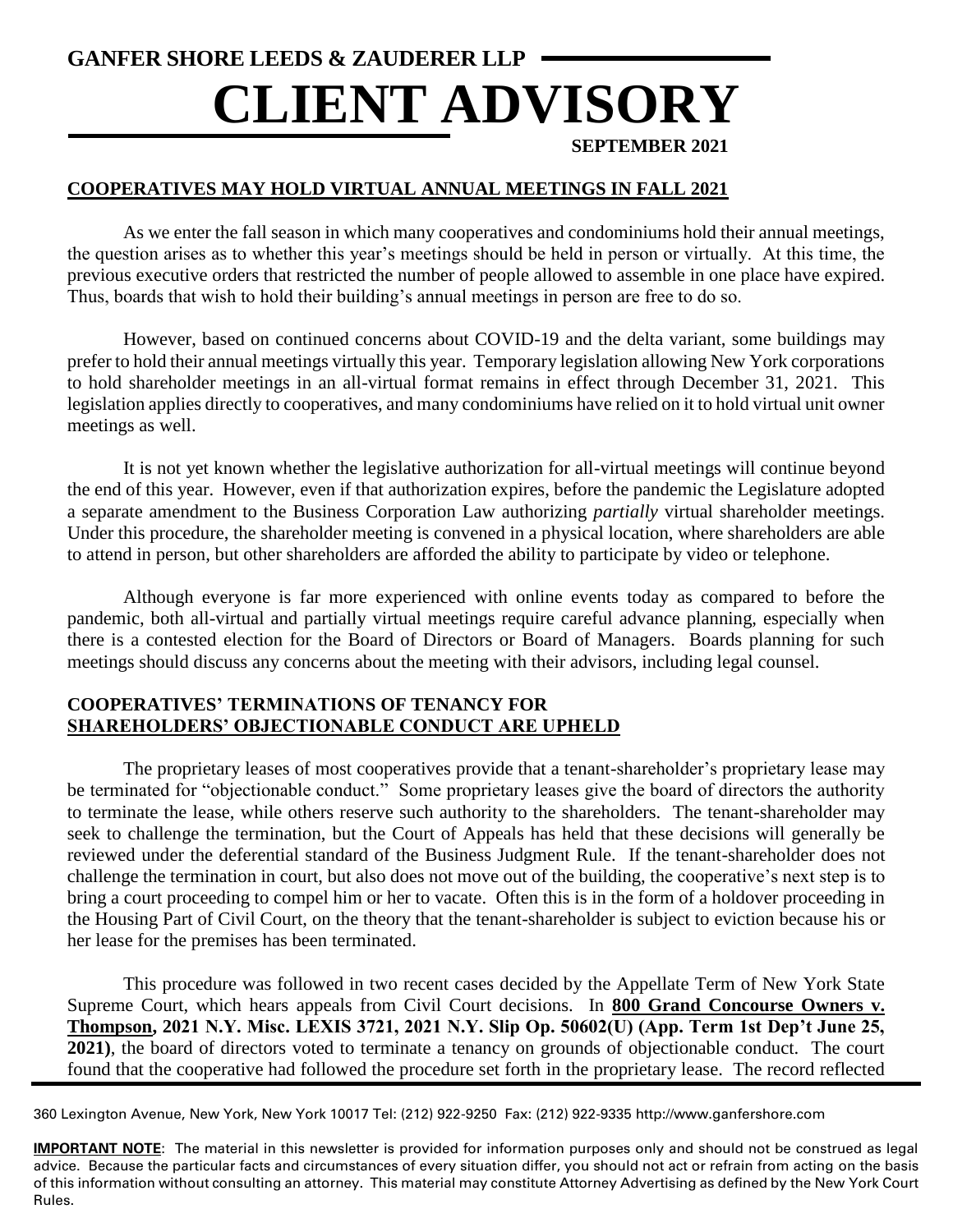# **GANFER SHORE LEEDS & ZAUDERER LLP CLIENT ADVISORY**

## **SEPTEMBER 2021**

## **COOPERATIVES MAY HOLD VIRTUAL ANNUAL MEETINGS IN FALL 2021**

As we enter the fall season in which many cooperatives and condominiums hold their annual meetings, the question arises as to whether this year's meetings should be held in person or virtually. At this time, the previous executive orders that restricted the number of people allowed to assemble in one place have expired. Thus, boards that wish to hold their building's annual meetings in person are free to do so.

However, based on continued concerns about COVID-19 and the delta variant, some buildings may prefer to hold their annual meetings virtually this year. Temporary legislation allowing New York corporations to hold shareholder meetings in an all-virtual format remains in effect through December 31, 2021. This legislation applies directly to cooperatives, and many condominiums have relied on it to hold virtual unit owner meetings as well.

It is not yet known whether the legislative authorization for all-virtual meetings will continue beyond the end of this year. However, even if that authorization expires, before the pandemic the Legislature adopted a separate amendment to the Business Corporation Law authorizing *partially* virtual shareholder meetings. Under this procedure, the shareholder meeting is convened in a physical location, where shareholders are able to attend in person, but other shareholders are afforded the ability to participate by video or telephone.

Although everyone is far more experienced with online events today as compared to before the pandemic, both all-virtual and partially virtual meetings require careful advance planning, especially when there is a contested election for the Board of Directors or Board of Managers. Boards planning for such meetings should discuss any concerns about the meeting with their advisors, including legal counsel.

#### **COOPERATIVES' TERMINATIONS OF TENANCY FOR SHAREHOLDERS' OBJECTIONABLE CONDUCT ARE UPHELD**

The proprietary leases of most cooperatives provide that a tenant-shareholder's proprietary lease may be terminated for "objectionable conduct." Some proprietary leases give the board of directors the authority to terminate the lease, while others reserve such authority to the shareholders. The tenant-shareholder may seek to challenge the termination, but the Court of Appeals has held that these decisions will generally be reviewed under the deferential standard of the Business Judgment Rule. If the tenant-shareholder does not challenge the termination in court, but also does not move out of the building, the cooperative's next step is to bring a court proceeding to compel him or her to vacate. Often this is in the form of a holdover proceeding in the Housing Part of Civil Court, on the theory that the tenant-shareholder is subject to eviction because his or her lease for the premises has been terminated.

This procedure was followed in two recent cases decided by the Appellate Term of New York State Supreme Court, which hears appeals from Civil Court decisions. In **800 Grand Concourse Owners v. Thompson, 2021 N.Y. Misc. LEXIS 3721, 2021 N.Y. Slip Op. 50602(U) (App. Term 1st Dep't June 25, 2021)**, the board of directors voted to terminate a tenancy on grounds of objectionable conduct. The court found that the cooperative had followed the procedure set forth in the proprietary lease. The record reflected

360 Lexington Avenue, New York, New York 10017 Tel: (212) 922-9250 Fax: (212) 922-9335 http://www.ganfershore.com

**IMPORTANT NOTE**: The material in this newsletter is provided for information purposes only and should not be construed as legal advice. Because the particular facts and circumstances of every situation differ, you should not act or refrain from acting on the basis of this information without consulting an attorney. This material may constitute Attorney Advertising as defined by the New York Court Rules.